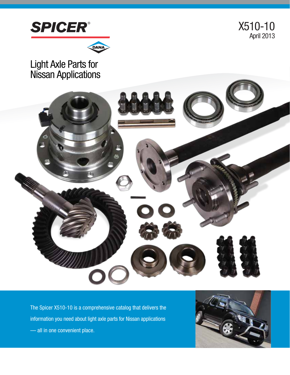

X510-10 April 2013



# Light Axle Parts for Nissan Applications



The Spicer X510-10 is a comprehensive catalog that delivers the information you need about light axle parts for Nissan applications — all in one convenient place.

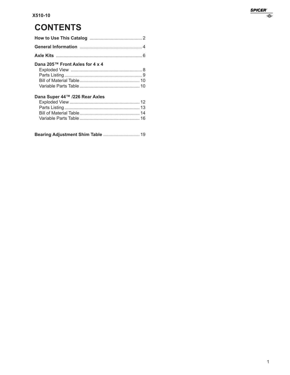# **CONTENTS**

| Dana 205™ Front Axles for 4 x 4                                   |  |
|-------------------------------------------------------------------|--|
|                                                                   |  |
|                                                                   |  |
|                                                                   |  |
|                                                                   |  |
| Dana Super 44™ /226 Rear Axles                                    |  |
| $\mathcal{L} = \mathcal{L} \times \mathcal{L} \times \mathcal{L}$ |  |

|--|--|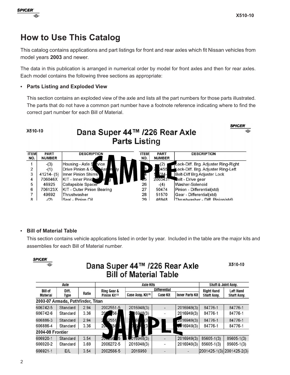

## **How to Use This Catalog**

This catalog contains applications and part listings for front and rear axles which fit Nissan vehicles from model years **2003** and newer.

The data in this publication is arranged in numerical order by model for front axles and then for rear axles. Each model contains the following three sections as appropriate:

#### **• Parts Listing and Exploded View**

This section contains an exploded view of the axle and lists all the part numbers for those parts illustrated. The parts that do not have a common part number have a footnote reference indicating where to find the correct part number for each Bill of Material.

| X510-10            |                              | Dana Super 44™ /226 Rear Axle     | <b>Parts Listing</b> |                              | <b>SPICER</b>                       | ☜ |
|--------------------|------------------------------|-----------------------------------|----------------------|------------------------------|-------------------------------------|---|
| <b>ITEM</b><br>NO. | <b>PART</b><br><b>NUMBER</b> | <b>DESCRIPTION</b>                | <b>ITEM</b><br>NO.   | <b>PART</b><br><b>NUMBER</b> | <b>DESCRIPTION</b>                  |   |
|                    | $-(3)$                       | vice<br>Housing - Axle S          |                      |                              | Lock-Diff. Brg. Adjuster Ring-Right |   |
| $\frac{2}{3}$      | $-(1)$                       | Drive Pinion & G<br>Ass           |                      | 0455                         | Lock-Diff. Brg. Adjuster Ring-Left  |   |
|                    | $41214 - (5)$                | Inner Pinion Shims                |                      | 784-                         | Bolt-Diff Brg Adjuster Lock         |   |
| 4                  | 706046X                      | KIT - Inner Pinio                 |                      | 2003431                      | <b>Bolt</b> - Drive gear            |   |
| 5                  | 46925                        | <b>Collapsible Spacer</b>         | 26                   | $-(4)$                       | Washer-Solenoid                     |   |
| 6                  | 706123X                      | <b>KIT - Outer Pinion Bearing</b> | 27                   | 50474                        | Pinion - Differential(std)          |   |
| 7                  | 49692                        | Thrustwasher                      | 28                   | 51570                        | Gear - Differential(std)            |   |
| 8                  | (2)                          | Seal - Pinion Oil                 | 29                   | 46948                        | Thrustwasher - Diff Pinion(std)     |   |

#### **• Bill of Material Table**

This section contains vehicle applications listed in order by year. Included in the table are the major kits and assemblies for each Bill of Material number.

**SPICER**  $\overline{\bullet}$ 

#### Dana Super 44™ /226 Rear Axle **Bill of Material Table**

X510-10

| Axle             |                                   |       |                           | <b>Axle Kits</b>              |                     | Shaft & Joint Assy.    |                    |                           |
|------------------|-----------------------------------|-------|---------------------------|-------------------------------|---------------------|------------------------|--------------------|---------------------------|
| <b>Bill of</b>   | Diff.                             |       | Ring Gear &               |                               | <b>Differential</b> |                        | <b>Right Hand</b>  | <b>Left Hand</b>          |
| <b>Material</b>  | Type                              | Ratio | Pinion Kit <sup>(7)</sup> | Case Assy. Kit <sup>(8)</sup> | <b>Case Kit</b>     | <b>Inner Parts Kit</b> | <b>Shaft Assy.</b> | <b>Shaft Assy.</b>        |
|                  | 2003-07 Armada, Pathfinder, Titan |       |                           |                               |                     |                        |                    |                           |
| 606742-5         | Standard                          | 2.94  | 2002551-5                 | 2016948(3)                    | $\blacksquare$      | 2016949(3)             | 84776-1            | 84776-1                   |
| 606742-6         | Standard                          | 3.36  | $56 -$<br>20              | 6948(3)                       |                     | 2016949(3)             | 84776-1            | 84776-1                   |
| 606886-3         | Standard                          | 2.94  | 2551                      | (3)<br>69                     |                     | 2016949(3)             | 84776-1            | 84776-1                   |
| 606886-4         | Standard                          | 3.36  | 20<br>56                  | 3                             |                     | $-16949(3)$            | 84776-1            | 84776-1                   |
| 2004-08 Frontier |                                   |       |                           |                               |                     |                        |                    |                           |
| 606920-1         | <b>Standard</b>                   | 3.54  | $20 - 56$ 5               | $-016948(3)$                  | $\frac{1}{2}$       | 2016949(3)             | $85605 - 1(3)$     | $85605 - 1(3)$            |
| 606920-2         | Standard                          | 3.69  | 2006272-5                 | 2016948(3)                    | ÷                   | 2016949(3)             | $85605 - 1(3)$     | $85605 - 1(3)$            |
| 606921-1         | E/L                               | 3.54  | 2002566-5                 | 2016950                       | -                   | ۰                      |                    | 2001425-1(3) 2001425-2(3) |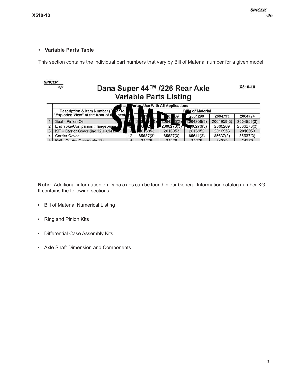#### **• Variable Parts Table**

This section contains the individual part numbers that vary by Bill of Material number for a given model.

| <b>SPICER</b> |                                                                     |                |                   |              |            |            |            |  |  |  |  |  |
|---------------|---------------------------------------------------------------------|----------------|-------------------|--------------|------------|------------|------------|--|--|--|--|--|
|               | Dana Super 44™ /226 Rear Axle<br>⊜<br><b>Variable Parts Listing</b> |                |                   |              |            |            |            |  |  |  |  |  |
|               | <b>Use With All Applications</b><br>arts<br>its j                   |                |                   |              |            |            |            |  |  |  |  |  |
|               | Description & Item Number (Parer to                                 |                | of Material<br>Вщ |              |            |            |            |  |  |  |  |  |
|               | "Exploded View" at the front of t                                   | sect           |                   | 89           | 2001290    | 2004793    | 2004794    |  |  |  |  |  |
|               | Seal - Pinion Oil                                                   |                |                   | 8(3)<br>Z004 | 2004958(3) | 2004958(3) | 2004958(3) |  |  |  |  |  |
|               | End Yoke/Companion Flange Assw                                      |                |                   | 2006270(3)   | 06270(3)   | 2006269    | 2006270(3) |  |  |  |  |  |
| 3             | KIT - Carrier Cover (inc 12.13.14)                                  |                | 1016953           | 2016953      | 2016952    | 2016953    | 2016953    |  |  |  |  |  |
|               | <b>Carrier Cover</b>                                                | 12             | 85637(3)          | 85637(3)     | 85641(3)   | 85637(3)   | 85637(3)   |  |  |  |  |  |
| Б.            | Polt Carrier Cover (ab) 12)                                         | 1 <sub>A</sub> | <b>24270</b>      | 24270        | 24270      | 34270      | 24270      |  |  |  |  |  |

**Note:** Additional information on Dana axles can be found in our General Information catalog number XGI. It contains the following sections:

- **•** Bill of Material Numerical Listing
- **•** Ring and Pinion Kits
- **•** Differential Case Assembly Kits
- **•** Axle Shaft Dimension and Components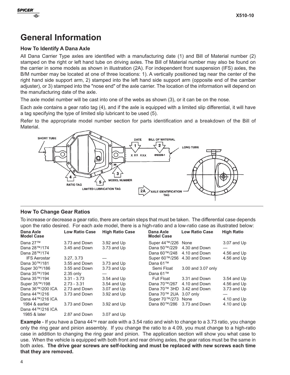



## **General Information**

#### **How To Identify A Dana Axle**

All Dana Carrier Type axles are identified with a manufacturing date (1) and Bill of Material number (2) stamped on the right or left hand tube on driving axles. The Bill of Material number may also be found on the carrier in some models as shown in illustration (2A). For independent front suspension (IFS) axles, the B/M number may be located at one of three locations: 1). A vertically positioned tag near the center of the right hand side support arm, 2) stamped into the left hand side support arm (opposite end of the camber adjuster), or 3) stamped into the "nose end" of the axle carrier. The location of the information will depend on the manufacturing date of the axle.

The axle model number will be cast into one of the webs as shown (3), or it can be on the nose.

Each axle contains a gear ratio tag (4), and if the axle is equipped with a limited slip differential, it will have a tag specifying the type of limited slip lubricant to be used (5).

Refer to the appropriate model number section for parts identification and a breakdown of the Bill of **Material** 



#### **How To Change Gear Ratios**

To increase or decrease a gear ratio, there are certain steps that must be taken. The differential case depends upon the ratio desired. For each axle model, there is a high-ratio and a low-ratio case as illustrated below:

| Dana Axle<br><b>Model Case</b> | <b>Low Ratio Case</b> | <b>High Ratio Case</b> | Dana Axle<br><b>Model Case</b> | <b>Low Ratio Case</b> | <b>High Ratio</b> |
|--------------------------------|-----------------------|------------------------|--------------------------------|-----------------------|-------------------|
| Dana 27™                       | 3.73 and Down         | $3.92$ and $Up$        | Super 44™/226 None             |                       | 3.07 and Up       |
| Dana 28™/174                   | 3.45 and Down         | 3.73 and Up            | Dana 50™/229                   | 4.30 and Down         | —                 |
| Dana 28™/174                   |                       |                        | Dana 60™/248                   | 4.10 and Down         | 4.56 and Up       |
| <b>IFS Aerostar</b>            | 3.27.3.73             |                        | Super 60™/256                  | 4.30 and Down         | 4.56 and Up       |
| Dana 30™/181                   | 3.55 and Down         | $3.73$ and Up          | Dana 61™                       |                       |                   |
| Super 30™/186                  | 3.55 and Down         | $3.73$ and Up          | Semi Float                     | 3.00 and 3.07 only    |                   |
| Dana 35™/194                   | $2.35$ only           |                        | Dana 61™                       |                       |                   |
| Dana 35™/194                   | $3.31 - 3.73$         | $3.54$ and Up          | Full Float                     | 3.31 and Down         | $3.54$ and Up     |
| Super 35™/198                  | $2.73 - 3.31$         | $3.54$ and Up          | Dana 70™/267                   | 4.10 and Down         | 4.56 and Up       |
| Dana 36™/200 ICA               | 2.73 and Down         | 3.07 and Up            | Dana 70™ 3HD                   | 3.42 and Down         | 3.73 and Up       |
| Dana 44™/216                   | 3.73 and Down         | $3.92$ and Up          | Dana 70™ 2UA 3.07 only         |                       |                   |
| Dana 44™/216 ICA               |                       |                        | Super 70™/273 None             |                       | $4.10$ and Up     |
| 1984 & earlier                 | 3.73 and Down         | 3.92 and Up            | Dana 80™/286                   | 3.73 and Down         | $4.10$ and Up     |
| Dana 44™/216 ICA               |                       |                        |                                |                       |                   |
| 1985 & later                   | 2.87 and Down         | $3.07$ and Up          |                                |                       |                   |

**Example** - If you have a Dana 44™ rear axle with a 3.54 ratio and wish to change to a 3.73 ratio, you change only the ring gear and pinion assembly. If you change the ratio to a 4.09, you must change to a high-ratio case in addition to changing the ring gear and pinion. The application section will show you what case to use. When the vehicle is equipped with both front and rear driving axles, the gear ratios must be the same in both axles. **The drive gear screws are self-locking and must be replaced with new screws each time that they are removed.**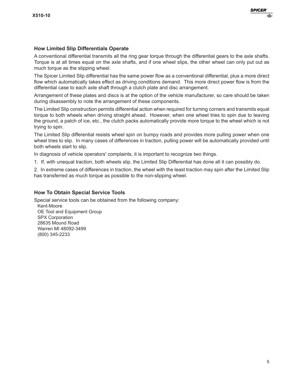#### **How Limited Slip Differentials Operate**

A conventional differential transmits all the ring gear torque through the differential gears to the axle shafts. Torque is at all times equal on the axle shafts, and if one wheel slips, the other wheel can only put out as much torque as the slipping wheel.

The Spicer Limited Slip differential has the same power flow as a conventional differential, plus a more direct flow which automatically takes effect as driving conditions demand. This more direct power flow is from the differential case to each axle shaft through a clutch plate and disc arrangement.

Arrangement of these plates and discs is at the option of the vehicle manufacturer, so care should be taken during disassembly to note the arrangement of these components.

The Limited Slip construction permits differential action when required for turning corners and transmits equal torque to both wheels when driving straight ahead. However, when one wheel tries to spin due to leaving the ground, a patch of ice, etc., the clutch packs automatically provide more torque to the wheel which is not trying to spin.

The Limited Slip differential resists wheel spin on bumpy roads and provides more pulling power when one wheel tries to slip. In many cases of differences in traction, pulling power will be automatically provided until both wheels start to slip.

In diagnosis of vehicle operators' complaints, it is important to recognize two things.

1. If, with unequal traction, both wheels slip, the Limited Slip Differential has done all it can possibly do.

2. In extreme cases of differences in traction, the wheel with the least traction may spin after the Limited Slip has transferred as much torque as possible to the non-slipping wheel.

#### **How To Obtain Special Service Tools**

Special service tools can be obtained from the following company: Kent-Moore OE Tool and Equipment Group SPX Corporation 28635 Mound Road Warren MI 48092-3499 (800) 345-2233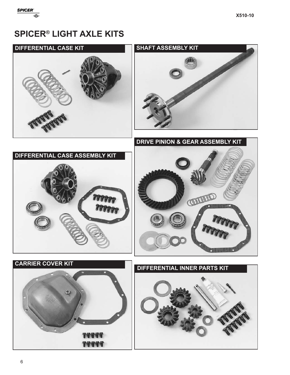## **SPICER® LIGHT AXLE KITS**

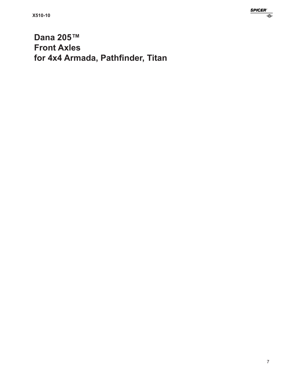**Dana 205™ Front Axles for 4x4 Armada, Pathfinder, Titan**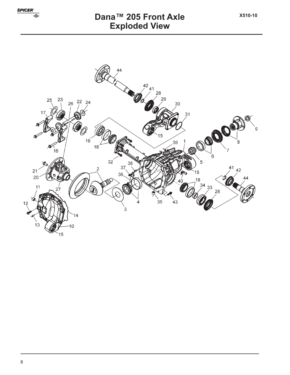

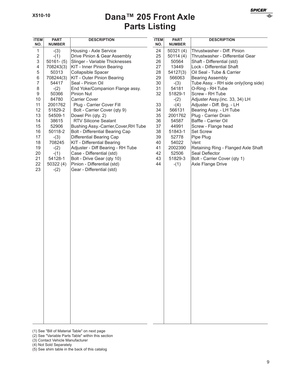## **Parts Listing Dana™ 205 Front Axle**

| <b>ITEM</b><br>NO. | <b>PART</b><br><b>NUMBER</b> | <b>DESCRIPTION</b>                     | <b>ITEM</b><br>NO. | <b>PART</b><br><b>NUMBER</b> | <b>DESCRIPTION</b>                   |
|--------------------|------------------------------|----------------------------------------|--------------------|------------------------------|--------------------------------------|
| $\mathbf{1}$       | $-(3)$                       | Housing - Axle Service                 | 24                 | 50321(4)                     | Thrustwasher - Diff. Pinion          |
| $\overline{2}$     | $-(1)$                       | Drive Pinion & Gear Assembly           | 25                 | 50114(4)                     | Thrustwasher - Differential Gear     |
| 3                  | $50161 - (5)$                | Slinger - Variable Thicknesses         | 26                 | 50564                        | Shaft - Differential (std)           |
| 4                  | 708243(3)                    | <b>KIT - Inner Pinion Bearing</b>      | 27                 | 13449                        | Lock - Differential Shaft            |
| 5                  | 50313                        | Collapsible Spacer                     | 28                 | 54127(3)                     | Oil Seal - Tube & Carrier            |
| 6                  | 708244(3)                    | KIT - Outer Pinion Bearing             | 29                 | 566063                       | <b>Bearing Assembly</b>              |
| $\overline{7}$     | 54417                        | Seal - Pinion Oil                      | 30                 | $-(3)$                       | Tube Assy. - RH side only(long side) |
| 8                  | $-(2)$                       | End Yoke/Companion Flange assy.        | 31                 | 54181                        | O-Ring - RH Tube                     |
| 9                  | 50366                        | Pinion Nut                             | 32                 | 51829-1                      | Screw - RH Tube                      |
| 10                 | 84780                        | Carrier Cover                          |                    | $-(2)$                       | Adjuster Assy.(inc. 33, 34) LH       |
| 11                 | 2001762                      | Plug - Carrier Cover Fill              | 33                 | $-(4)$                       | Adjuster - Diff. Brg. - LH           |
| 12                 | 51829-2                      | Bolt - Carrier Cover (qty 9)           | 34                 | 566131                       | Bearing Assy. - LH Tube              |
| 13                 | 54509-1                      | Dowel Pin (qty. 2)                     | 35                 | 2001762                      | Plug - Carrier Drain                 |
| 14                 | 38615                        | <b>RTV Silicone Sealant</b>            | 36                 | 54587                        | Baffle - Carrier Oil                 |
| 15                 | 52906                        | Bushing Assy.-Carrier, Cover, RH Tube  | 37                 | 44991                        | Screw - Flange head                  |
| 16                 | 50118-2                      | <b>Bolt - Differential Bearing Cap</b> | 38                 | 51843-1                      | <b>Set Screw</b>                     |
| 17                 | $-(3)$                       | Differential Bearing Cap               | 39                 | 52778                        | Pipe Plug                            |
| 18                 | 708245                       | <b>KIT</b> - Differential Bearing      | 40                 | 54022                        | Vent                                 |
| 19                 | $-(2)$                       | Adjuster - Diff Bearing - RH Tube      | 41                 | 2002390                      | Retaining Ring - Flanged Axle Shaft  |
| 20                 | $-(1)$                       | Case - Differential (std)              | 42                 | 52506                        | Seal Deflector                       |
| 21                 | 54128-1                      | Bolt - Drive Gear (qty 10)             | 43                 | 51829-3                      | Bolt - Carrier Cover (qty 1)         |
| 22                 | 50322(4)                     | Pinion - Differential (std)            | 44                 | $-(1)$                       | Axle Flange Drive                    |
| 23                 | $-(2)$                       | Gear - Differential (std)              |                    |                              |                                      |
|                    |                              |                                        |                    |                              |                                      |
|                    |                              |                                        |                    |                              |                                      |
|                    |                              |                                        |                    |                              |                                      |
|                    |                              |                                        |                    |                              |                                      |
|                    |                              |                                        |                    |                              |                                      |
|                    |                              |                                        |                    |                              |                                      |
|                    |                              |                                        |                    |                              |                                      |
|                    |                              |                                        |                    |                              |                                      |
|                    |                              |                                        |                    |                              |                                      |
|                    |                              |                                        |                    |                              |                                      |
|                    |                              |                                        |                    |                              |                                      |
|                    |                              |                                        |                    |                              |                                      |
|                    |                              |                                        |                    |                              |                                      |
|                    |                              |                                        |                    |                              |                                      |
|                    |                              |                                        |                    |                              |                                      |
|                    |                              |                                        |                    |                              |                                      |
|                    |                              |                                        |                    |                              |                                      |
|                    |                              |                                        |                    |                              |                                      |
|                    |                              |                                        |                    |                              |                                      |
|                    |                              |                                        |                    |                              |                                      |
|                    |                              |                                        |                    |                              |                                      |
|                    |                              |                                        |                    |                              |                                      |
|                    |                              |                                        |                    |                              |                                      |
|                    |                              |                                        |                    |                              |                                      |
|                    |                              |                                        |                    |                              |                                      |
|                    |                              |                                        |                    |                              |                                      |
|                    |                              |                                        |                    |                              |                                      |

(1) See "Bill of Material Table" on next page

(2) See "Variable Parts Table" within this section

- (3) Contact Vehicle Manufacturer
- (4) Not Sold Separately

(5) See shim table in the back of this catalog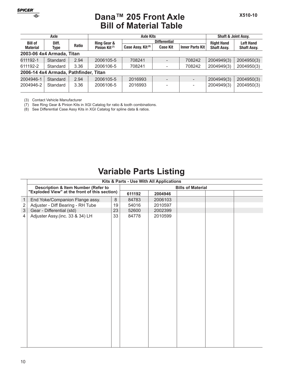

#### **Bill of Material Table Dana™ 205 Front Axle**

|                 | Axle                                  |              |                           | <b>Axle Kits</b>              | <b>Shaft &amp; Joint Assv.</b> |                   |                    |                    |  |
|-----------------|---------------------------------------|--------------|---------------------------|-------------------------------|--------------------------------|-------------------|--------------------|--------------------|--|
| <b>Bill of</b>  | Diff.                                 |              | Ring Gear &               |                               | <b>Differential</b>            | <b>Right Hand</b> | <b>Left Hand</b>   |                    |  |
| <b>Material</b> | Type                                  | <b>Ratio</b> | Pinion Kit <sup>(7)</sup> | Case Assy. Kit <sup>(8)</sup> | <b>Case Kit</b>                | Inner Parts Kit   | <b>Shaft Assy.</b> | <b>Shaft Assy.</b> |  |
|                 | 2003-06 4x4 Armada, Titan             |              |                           |                               |                                |                   |                    |                    |  |
| 611192-1        | Standard                              | 2.94         | 2006105-5                 | 708241                        | $\overline{\phantom{0}}$       | 708242            | 2004949(3)         | 2004950(3)         |  |
| 611192-2        | Standard                              | 3.36         | 2006106-5                 | 708241                        |                                | 708242            | 2004949(3)         | 2004950(3)         |  |
|                 | 2006-14 4x4 Armada, Pathfinder, Titan |              |                           |                               |                                |                   |                    |                    |  |
| 2004946-1       | Standard                              | 2.94         | 2006105-5                 | 2016993                       | $\overline{\phantom{0}}$       |                   | 2004949(3)         | 2004950(3)         |  |
| 2004946-2       | Standard                              | 3.36         | 2006106-5                 | 2016993                       | -                              |                   | 2004949(3)         | 2004950(3)         |  |

(3) Contact Vehicle Manufacturer

(7) See Ring Gear & Pinion Kits in XGI Catalog for ratio & tooth combinations.

(8) See Differential Case Assy Kits in XGI Catalog for spline data & ratios.

# **Variable Parts Listing**

|                |                                                                                      |    | Kits & Parts - Use With All Applications |         |                          |  |  |
|----------------|--------------------------------------------------------------------------------------|----|------------------------------------------|---------|--------------------------|--|--|
|                | Description & Item Number (Refer to<br>"Exploded View" at the front of this section) |    |                                          |         | <b>Bills of Material</b> |  |  |
|                |                                                                                      |    | 611192                                   | 2004946 |                          |  |  |
| $\overline{1}$ | End Yoke/Companion Flange assy.                                                      | 8  | 84783                                    | 2006103 |                          |  |  |
| $\mathbf 2$    | Adjuster - Diff Bearing - RH Tube                                                    | 19 | 54016                                    | 2010597 |                          |  |  |
| $\mathfrak{S}$ | Gear - Differential (std)                                                            | 23 | 52600                                    | 2002399 |                          |  |  |
| 4              | Adjuster Assy.(inc. 33 & 34) LH                                                      | 33 | 84778                                    | 2010599 |                          |  |  |
|                |                                                                                      |    |                                          |         |                          |  |  |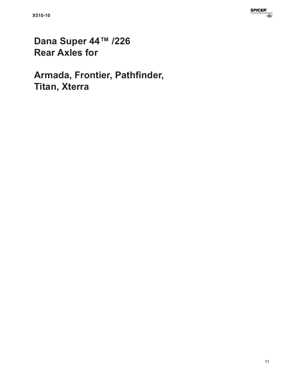# Dana Super 44™ /226 **Rear Axles for**

Armada, Frontier, Pathfinder, **Titan, Xterra**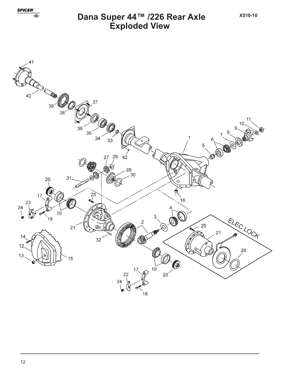

# Dana Super 44™ /226 Rear Axle<br>Exploded View

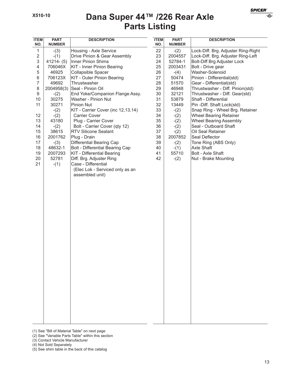| <b>ITEM</b><br>NO. | <b>PART</b><br><b>NUMBER</b> | <b>DESCRIPTION</b>                 | <b>ITEM</b><br>NO. | <b>PART</b><br><b>NUMBER</b> | <b>DESCRIPTION</b>                  |
|--------------------|------------------------------|------------------------------------|--------------------|------------------------------|-------------------------------------|
| 1                  | $-(3)$                       | Housing - Axle Service             | 22                 | $-(2)$                       | Lock-Diff. Brg. Adjuster Ring-Right |
| $\overline{2}$     | $-(1)$                       | Drive Pinion & Gear Assembly       | 23                 | 2004557                      | Lock-Diff. Brg. Adjuster Ring-Left  |
| 3                  | $41214 - (5)$                | Inner Pinion Shims                 | 24                 | 52784-1                      | <b>Bolt-Diff Brg Adjuster Lock</b>  |
| $\overline{4}$     | 706046X                      | <b>KIT - Inner Pinion Bearing</b>  | 25                 | 2003431                      | Bolt - Drive gear                   |
| 5                  | 46925                        | Collapsible Spacer                 | 26                 | $-(4)$                       | Washer-Solenoid                     |
| 6                  | 706123X                      | KIT - Outer Pinion Bearing         | 27                 | 50474                        | Pinion - Differential(std)          |
| $\overline{7}$     | 49692                        | Thrustwasher                       | 28                 | 51570                        | Gear - Differential(std)            |
| 8                  | 2004958(3)                   | Seal - Pinion Oil                  | 29                 | 46948                        | Thrustwasher - Diff. Pinion(std)    |
| $\boldsymbol{9}$   | $-(2)$                       | End Yoke/Companion Flange Assy.    | 30                 | 32121                        | Thrustwasher - Diff. Gear(std)      |
| 10                 | 30275                        | Washer - Pinion Nut                | 31                 | 53879                        | Shaft - Differential                |
| 11                 | 30271                        | Pinion Nut                         | 32                 | 13449                        | Pin -Diff. Shaft Lock(std)          |
|                    | $-(2)$                       | KIT - Carrier Cover (inc 12,13,14) | 33                 | $-(2)$                       | Snap Ring - Wheel Brg. Retainer     |
| 12                 | $-(2)$                       | <b>Carrier Cover</b>               | 34                 | $-(2)$                       | <b>Wheel Bearing Retainer</b>       |
| 13                 | 43180                        | Plug - Carrier Cover               | 35                 | $-(2)$                       | <b>Wheel Bearing Assembly</b>       |
| 14                 | $-(2)$                       | Bolt - Carrier Cover (qty 12)      | 36                 | $-(2)$                       | Seal - Outboard Shaft               |
| 15                 | 38615                        | RTV Silicone Sealant               | 37                 | $-(2)$                       | Oil Seal Retainer                   |
| 16                 | 2001762                      | Plug - Drain                       | 38                 | 2007852                      | Seal Deflector                      |
| 17                 | $-(3)$                       | Differential Bearing Cap           | 39                 | $-(2)$                       | Tone Ring (ABS Only)                |
| 18                 | 48632-1                      | Bolt - Differential Bearing Cap    | 40                 | $-(1)$                       | Axle Shaft                          |
| 19                 | 2007293                      | <b>KIT</b> - Differential Bearing  | 41                 | 55710                        | Bolt - Axle Shaft                   |
| 20                 | 52781                        | Diff. Brg. Adjuster Ring           | 42                 | $-(2)$                       | Nut - Brake Mounting                |
| 21                 | $-(1)$                       | Case - Differential                |                    |                              |                                     |
|                    |                              | (Elec Lok - Serviced only as an    |                    |                              |                                     |
|                    |                              | assembled unit)                    |                    |                              |                                     |
|                    |                              |                                    |                    |                              |                                     |
|                    |                              |                                    |                    |                              |                                     |
|                    |                              |                                    |                    |                              |                                     |
|                    |                              |                                    |                    |                              |                                     |
|                    |                              |                                    |                    |                              |                                     |
|                    |                              |                                    |                    |                              |                                     |
|                    |                              |                                    |                    |                              |                                     |
|                    |                              |                                    |                    |                              |                                     |
|                    |                              |                                    |                    |                              |                                     |
|                    |                              |                                    |                    |                              |                                     |
|                    |                              |                                    |                    |                              |                                     |
|                    |                              |                                    |                    |                              |                                     |
|                    |                              |                                    |                    |                              |                                     |
|                    |                              |                                    |                    |                              |                                     |
|                    |                              |                                    |                    |                              |                                     |
|                    |                              |                                    |                    |                              |                                     |
|                    |                              |                                    |                    |                              |                                     |
|                    |                              |                                    |                    |                              |                                     |
|                    |                              |                                    |                    |                              |                                     |
|                    |                              |                                    |                    |                              |                                     |
|                    |                              |                                    |                    |                              |                                     |
|                    |                              |                                    |                    |                              |                                     |
|                    |                              |                                    |                    |                              |                                     |
|                    |                              |                                    |                    |                              |                                     |
|                    |                              |                                    |                    |                              |                                     |
|                    |                              |                                    |                    |                              |                                     |
|                    |                              |                                    |                    |                              |                                     |

<sup>(1)</sup> See "Bill of Material Table" on next page

- (3) Contact Vehicle Manufacturer
- (4) Not Sold Separately
- (5) See shim table in the back of this catalog

**SPICER** 

♦

<sup>(2)</sup> See "Variable Parts Table" within this section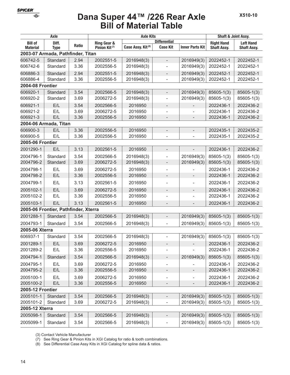## **Bill of Material Table Dana Super 44™ /226 Rear Axle**

| Axle                    |                                      |              | <b>Axle Kits</b>          | <b>Shaft &amp; Joint Assy.</b> |                              |                          |                    |                    |
|-------------------------|--------------------------------------|--------------|---------------------------|--------------------------------|------------------------------|--------------------------|--------------------|--------------------|
| <b>Bill of</b>          | Diff.                                | <b>Ratio</b> | <b>Ring Gear &amp;</b>    |                                | <b>Differential</b>          |                          | <b>Right Hand</b>  | <b>Left Hand</b>   |
| <b>Material</b>         | <b>Type</b>                          |              | Pinion Kit <sup>(7)</sup> | Case Assy. Kit <sup>(8)</sup>  | <b>Case Kit</b>              | <b>Inner Parts Kit</b>   | <b>Shaft Assv.</b> | <b>Shaft Assy.</b> |
|                         | 2003-07 Armada, Pathfinder, Titan    |              |                           |                                |                              |                          |                    |                    |
| 606742-5                | Standard                             | 2.94         | 2002551-5                 | 2016948(3)                     | $\overline{\phantom{0}}$     | 2016949(3)               | 2022452-1          | 2022452-1          |
| 606742-6                | Standard                             | 3.36         | 2002556-5                 | 2016948(3)                     |                              | 2016949(3)               | 2022452-1          | 2022452-1          |
| 606886-3                | Standard                             | 2.94         | 2002551-5                 | 2016948(3)                     | $\qquad \qquad -$            | 2016949(3)               | 2022452-1          | 2022452-1          |
| 606886-4                | Standard                             | 3.36         | 2002556-5                 | 2016948(3)                     | $\overline{\phantom{0}}$     | 2016949(3)               | 2022452-1          | 2022452-1          |
| 2004-08 Frontier        |                                      |              |                           |                                |                              |                          |                    |                    |
| 606920-1                | Standard                             | 3.54         | 2002566-5                 | 2016948(3)                     | $\overline{\phantom{0}}$     | 2016949(3)               | 85605-1(3)         | 85605-1(3)         |
| 606920-2                | Standard                             | 3.69         | 2006272-5                 | 2016948(3)                     |                              | 2016949(3)               | 85605-1(3)         | 85605-1(3)         |
| 606921-1                | E/L                                  | 3.54         | 2002566-5                 | 2016950                        | $\qquad \qquad -$            |                          | 2022436-1          | 2022436-2          |
| 606921-2                | E/L                                  | 3.69         | 2006272-5                 | 2016950                        |                              |                          | 2022436-1          | 2022436-2          |
| 606921-3                | E/L                                  | 3.36         | 2002556-5                 | 2016950                        |                              |                          | 2022436-1          | 2022436-2          |
|                         | 2004-06 Armada, Titan                |              |                           |                                |                              |                          |                    |                    |
| 606900-3                | E/L                                  | 3.36         | 2002556-5                 | 2016950                        | $\overline{\phantom{a}}$     | $\overline{\phantom{0}}$ | 2022435-1          | 2022435-2          |
| 606900-5                | E/L                                  | 3.36         | 2002556-5                 | 2016950                        | ٠                            | $\overline{a}$           | 2022435-1          | 2022435-2          |
| <b>2005-06 Frontier</b> |                                      |              |                           |                                |                              |                          |                    |                    |
| 2001290-1               | E/L                                  | 3.13         | 2002561-5                 | 2016950                        |                              |                          | 2022436-1          | 2022436-2          |
| 2004796-1               | Standard                             | 3.54         | 2002566-5                 | 2016948(3)                     |                              | 2016949(3)               | 85605-1(3)         | 85605-1(3)         |
| 2004796-2               | Standard                             | 3.69         | 2006272-5                 | 2016948(3)                     | $\overline{\phantom{m}}$     | 2016949(3)               | $85605 - 1(3)$     | $85605 - 1(3)$     |
| 2004798-1               | E/L                                  | 3.69         | 2006272-5                 | 2016950                        | $\overline{\phantom{0}}$     |                          | 2022436-1          | 2022436-2          |
| 2004798-2               | E/L                                  | 3.36         | 2002556-5                 | 2016950                        |                              |                          | 2022436-1          | 2022436-2          |
| 2004799-1               | E/L                                  | 3.13         | 2002561-5                 | 2016950                        |                              |                          | 2022436-1          | 2022436-2          |
| 2005102-1               | E/L                                  | 3.69         | 2006272-5                 | 2016950                        | $\overline{\phantom{a}}$     | $\overline{a}$           | 2022436-1          | 2022436-2          |
| 2005102-2               | E/L                                  | 3.36         | 2002556-5                 | 2016950                        | ÷,                           | $\overline{a}$           | 2022436-1          | 2022436-2          |
| 2005103-1               | E/L                                  | 3.13         | 2002561-5                 | 2016950                        |                              | $\overline{a}$           | 2022436-1          | 2022436-2          |
|                         | 2005-06 Frontier, Pathfinder, Xterra |              |                           |                                |                              |                          |                    |                    |
| 2001288-1               | Standard                             | 3.54         | 2002566-5                 | 2016948(3)                     | $\overline{\phantom{m}}$     | 2016949(3)               | $85605 - 1(3)$     | $85605 - 1(3)$     |
| 2004793-1               | Standard                             | 3.54         | 2002566-5                 | 2016948(3)                     | $\overline{\phantom{0}}$     | 2016949(3)               | 85605-1(3)         | 85605-1(3)         |
| 2005-06 Xterra          |                                      |              |                           |                                |                              |                          |                    |                    |
| 606937-1                | Standard                             | 3.54         | 2002566-5                 | 2016948(3)                     |                              | 2016949(3)               | 85605-1(3)         | 85605-1(3)         |
| 2001289-1               | E/L                                  | 3.69         | 2006272-5                 | 2016950                        |                              |                          | 2022436-1          | 2022436-2          |
| 2001289-2               | E/L                                  | 3.36         | 2002556-5                 | 2016950                        | $\qquad \qquad -$            | L,                       | 2022436-1          | 2022436-2          |
| 2004794-1               | Standard                             | 3.54         | 2002566-5                 | 2016948(3)                     | $\overline{\phantom{0}}$     | 2016949(3)               | $85605 - 1(3)$     | 85605-1(3)         |
| 2004795-1               | E/L                                  | 3.69         | 2006272-5                 | 2016950                        | $\qquad \qquad \blacksquare$ |                          | 2022436-1          | 2022436-2          |
| 2004795-2               | E/L                                  | 3.36         | 2002556-5                 | 2016950                        | $\overline{\phantom{0}}$     | -                        | 2022436-1          | 2022436-2          |
| 2005100-1               | E/L                                  | 3.69         | 2006272-5                 | 2016950                        | $\overline{\phantom{0}}$     | -                        | 2022436-1          | 2022436-2          |
| 2005100-2               | E/L                                  | 3.36         | 2002556-5                 | 2016950                        | $\overline{\phantom{m}}$     | $\overline{\phantom{0}}$ | 2022436-1          | 2022436-2          |
| <b>2005-12 Frontier</b> |                                      |              |                           |                                |                              |                          |                    |                    |
| 2005101-1               | Standard                             | 3.54         | 2002566-5                 | 2016948(3)                     | $\qquad \qquad -$            | 2016949(3)               | 85605-1(3)         | $85605 - 1(3)$     |
| 2005101-2               | Standard                             | 3.69         | 2006272-5                 | 2016948(3)                     | ÷                            | 2016949(3)               | 85605-1(3)         | 85605-1(3)         |
| 2005-12 Xterra          |                                      |              |                           |                                |                              |                          |                    |                    |
| 2005098-1               | Standard                             | 3.54         | 2002566-5                 | 2016948(3)                     | $\qquad \qquad -$            | 2016949(3)               | $85605 - 1(3)$     | $85605 - 1(3)$     |
| 2005099-1               | Standard                             | 3.54         | 2002566-5                 | 2016948(3)                     | $\overline{\phantom{0}}$     | 2016949(3)               | 85605-1(3)         | 85605-1(3)         |
|                         |                                      |              |                           |                                |                              |                          |                    |                    |

(3) Contact Vehicle Manufacturer

(7) See Ring Gear & Pinion Kits in XGI Catalog for ratio & tooth combinations.

(8) See Differential Case Assy Kits in XGI Catalog for spline data & ratios.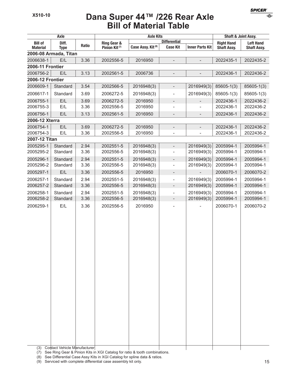€

### **Bill of Material Table Dana Super 44™ /226 Rear Axle**

| Axle                          |                              |              |                           | <b>Axle Kits</b>              | Shaft & Joint Assy.      |                          |                    |                    |
|-------------------------------|------------------------------|--------------|---------------------------|-------------------------------|--------------------------|--------------------------|--------------------|--------------------|
| <b>Bill of</b>                | Diff.                        | <b>Ratio</b> | Ring Gear &               |                               | <b>Differential</b>      |                          | <b>Right Hand</b>  | <b>Left Hand</b>   |
| <b>Material</b>               | <b>Type</b>                  |              | Pinion Kit <sup>(7)</sup> | Case Assy. Kit <sup>(8)</sup> | <b>Case Kit</b>          | <b>Inner Parts Kit</b>   | <b>Shaft Assy.</b> | <b>Shaft Assy.</b> |
|                               | 2006-08 Armada, Titan        |              |                           |                               |                          |                          |                    |                    |
| 2006638-1<br>2006-11 Frontier | E/L                          | 3.36         | 2002556-5                 | 2016950                       | $\qquad \qquad -$        | $\overline{\phantom{a}}$ | 2022435-1          | 2022435-2          |
| 2006756-2                     | E/L                          | 3.13         | 2002561-5                 | 2006736                       |                          |                          | 2022436-1          | 2022436-2          |
| 2006-12 Frontier              |                              |              |                           |                               |                          |                          |                    |                    |
| 2006609-1                     | Standard                     | 3.54         | 2002566-5                 | 2016948(3)                    | $\blacksquare$           | 2016949(3)               | $85605 - 1(3)$     | $85605 - 1(3)$     |
| 2006617-1                     | Standard                     | 3.69         | 2006272-5                 | 2016948(3)                    | $\overline{\phantom{a}}$ | 2016949(3)               | 85605-1(3)         | 85605-1(3)         |
| 2006755-1                     | E/L                          | 3.69         | 2006272-5                 | 2016950                       | $\overline{\phantom{a}}$ |                          | 2022436-1          | 2022436-2          |
| 2006755-3                     | E/L                          | 3.36         | 2002556-5                 | 2016950                       |                          |                          | 2022436-1          | 2022436-2          |
| 2006756-1                     | E/L                          | 3.13         | 2002561-5                 | 2016950                       | $\overline{\phantom{a}}$ |                          | 2022436-1          | 2022436-2          |
| 2006-12 Xterra                |                              |              |                           |                               |                          |                          |                    |                    |
| 2006754-1                     | E/L                          | 3.69         | 2006272-5                 | 2016950                       | $\overline{\phantom{a}}$ | $\overline{\phantom{0}}$ | 2022436-1          | 2022436-2          |
| 2006754-3                     | E/L                          | 3.36         | 2002556-5                 | 2016950                       | $\overline{a}$           |                          | 2022436-1          | 2022436-2          |
| 2007-12 Titan                 |                              |              |                           |                               |                          |                          |                    |                    |
| 2005295-1                     | Standard                     | 2.94         | 2002551-5                 | 2016948(3)                    | $\overline{\phantom{a}}$ | 2016949(3)               | 2005994-1          | 2005994-1          |
| 2005295-2                     | Standard                     | 3.36         | 2002556-5                 | 2016948(3)                    | $\overline{a}$           | 2016949(3)               | 2005994-1          | 2005994-1          |
| 2005296-1                     | Standard                     | 2.94         | 2002551-5                 | 2016948(3)                    | $\overline{\phantom{a}}$ | 2016949(3)               | 2005994-1          | 2005994-1          |
| 2005296-2                     | Standard                     | 3.36         | 2002556-5                 | 2016948(3)                    | $\overline{\phantom{a}}$ | 2016949(3)               | 2005994-1          | 2005994-1          |
| 2005297-1                     | E/L                          | 3.36         | 2002556-5                 | 2016950                       | $\overline{\phantom{a}}$ | $\overline{\phantom{a}}$ | 2006070-1          | 2006070-2          |
| 2006257-1                     | Standard                     | 2.94         | 2002551-5                 | 2016948(3)                    | $\overline{\phantom{a}}$ | 2016949(3)               | 2005994-1          | 2005994-1          |
| 2006257-2                     | Standard                     | 3.36         | 2002556-5                 | 2016948(3)                    | $\qquad \qquad -$        | 2016949(3)               | 2005994-1          | 2005994-1          |
| 2006258-1                     | Standard                     | 2.94         | 2002551-5                 | 2016948(3)                    | $\overline{\phantom{a}}$ | 2016949(3)               | 2005994-1          | 2005994-1          |
| 2006258-2                     | Standard                     | 3.36         | 2002556-5                 | 2016948(3)                    | $\overline{\phantom{a}}$ | 2016949(3)               | 2005994-1          | 2005994-1          |
| 2006259-1                     | E/L                          | 3.36         | 2002556-5                 | 2016950                       |                          |                          | 2006070-1          | 2006070-2          |
|                               |                              |              |                           |                               |                          |                          |                    |                    |
|                               |                              |              |                           |                               |                          |                          |                    |                    |
|                               |                              |              |                           |                               |                          |                          |                    |                    |
|                               |                              |              |                           |                               |                          |                          |                    |                    |
|                               |                              |              |                           |                               |                          |                          |                    |                    |
|                               |                              |              |                           |                               |                          |                          |                    |                    |
|                               |                              |              |                           |                               |                          |                          |                    |                    |
|                               |                              |              |                           |                               |                          |                          |                    |                    |
|                               |                              |              |                           |                               |                          |                          |                    |                    |
|                               |                              |              |                           |                               |                          |                          |                    |                    |
|                               |                              |              |                           |                               |                          |                          |                    |                    |
|                               |                              |              |                           |                               |                          |                          |                    |                    |
|                               |                              |              |                           |                               |                          |                          |                    |                    |
|                               |                              |              |                           |                               |                          |                          |                    |                    |
|                               |                              |              |                           |                               |                          |                          |                    |                    |
|                               |                              |              |                           |                               |                          |                          |                    |                    |
|                               |                              |              |                           |                               |                          |                          |                    |                    |
|                               |                              |              |                           |                               |                          |                          |                    |                    |
|                               |                              |              |                           |                               |                          |                          |                    |                    |
|                               |                              |              |                           |                               |                          |                          |                    |                    |
| (3)                           | Contact Vehicle Manufacturer |              |                           |                               |                          |                          |                    |                    |

(7) See Ring Gear & Pinion Kits in XGI Catalog for ratio & tooth combinations.

(8) See Differential Case Assy Kits in XGI Catalog for spline data & ratios.

 $(9)$  Serviced with complete differential case assembly kit only. 15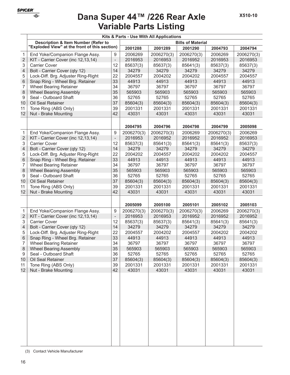

# **Variable Parts Listing Dana Super 44™ /226 Rear Axle**

|                | Kits & Parts - Use With All Applications       |                          |            |            |            |            |            |  |
|----------------|------------------------------------------------|--------------------------|------------|------------|------------|------------|------------|--|
|                | <b>Description &amp; Item Number (Refer to</b> | <b>Bills of Material</b> |            |            |            |            |            |  |
|                | "Exploded View" at the front of this section)  |                          | 2001288    | 2001289    | 2001290    | 2004793    | 2004794    |  |
| $\mathbf{1}$   | End Yoke/Companion Flange Assy.                | 9                        | 2006269    | 2006270(3) | 2006270(3) | 2006269    | 2006270(3) |  |
| $\overline{2}$ | KIT - Carrier Cover (inc 12,13,14)             | $\overline{\phantom{m}}$ | 2016953    | 2016953    | 2016952    | 2016953    | 2016953    |  |
| 3              | <b>Carrier Cover</b>                           | 12                       | 85637(3)   | 85637(3)   | 85641(3)   | 85637(3)   | 85637(3)   |  |
| 4              | Bolt - Carrier Cover (qty 12)                  | 14                       | 34279      | 34279      | 34279      | 34279      | 34279      |  |
| 5              | Lock-Diff. Brg. Adjuster Ring-Right            | 22                       | 2004557    | 2004202    | 2004202    | 2004557    | 2004557    |  |
| 6              | Snap Ring - Wheel Brg. Retainer                | 33                       | 44913      | 44913      | 44913      | 44913      | 44913      |  |
| 7              | <b>Wheel Bearing Retainer</b>                  | 34                       | 36797      | 36797      | 36797      | 36797      | 36797      |  |
| 8              | <b>Wheel Bearing Assembly</b>                  | 35                       | 565903     | 565903     | 565903     | 565903     | 565903     |  |
| 9              | Seal - Outboard Shaft                          | 36                       | 52765      | 52765      | 52765      | 52765      | 52765      |  |
| 10             | Oil Seal Retainer                              | 37                       | 85604(3)   | 85604(3)   | 85604(3)   | 85604(3)   | 85604(3)   |  |
| 11             | Tone Ring (ABS Only)                           | 39                       | 2001331    | 2001331    | 2001331    | 2001331    | 2001331    |  |
| 12             | Nut - Brake Mounting                           | 42                       | 43031      | 43031      | 43031      | 43031      | 43031      |  |
|                |                                                |                          |            |            |            |            |            |  |
|                |                                                |                          | 2004795    | 2004796    | 2004798    | 2004799    | 2005098    |  |
| 1              | End Yoke/Companion Flange Assy.                | 9                        | 2006270(3) | 2006270(3) | 2006269    | 2006270(3) | 2006269    |  |
| $\overline{2}$ | KIT - Carrier Cover (inc 12,13,14)             | $\overline{\phantom{a}}$ | 2016953    | 2016952    | 2016952    | 2016952    | 2016953    |  |
| 3              | <b>Carrier Cover</b>                           | 12                       | 85637(3)   | 85641(3)   | 85641(3)   | 85641(3)   | 85637(3)   |  |
| 4              | Bolt - Carrier Cover (qty 12)                  | 14                       | 34279      | 34279      | 34279      | 34279      | 34279      |  |
| 5              | Lock-Diff. Brg. Adjuster Ring-Right            | 22                       | 2004202    | 2004557    | 2004202    | 2004202    | 2004557    |  |
| $6\phantom{1}$ | Snap Ring - Wheel Brg. Retainer                | 33                       | 44913      | 44913      | 44913      | 44913      | 44913      |  |
| 7              | <b>Wheel Bearing Retainer</b>                  | 34                       | 36797      | 36797      | 36797      | 36797      | 36797      |  |
| 8              | <b>Wheel Bearing Assembly</b>                  | 35                       | 565903     | 565903     | 565903     | 565903     | 565903     |  |
| 9              | Seal - Outboard Shaft                          | 36                       | 52765      | 52765      | 52765      | 52765      | 52765      |  |
| 10             | Oil Seal Retainer                              | 37                       | 85604(3)   | 85604(3)   | 85604(3)   | 85604(3)   | 85604(3)   |  |
| 11             | Tone Ring (ABS Only)                           | 39                       | 2001331    | 2001331    | 2001331    | 2001331    | 2001331    |  |
| 12             | Nut - Brake Mounting                           | 42                       | 43031      | 43031      | 43031      | 43031      | 43031      |  |
|                |                                                |                          |            |            |            |            |            |  |
|                |                                                |                          | 2005099    | 2005100    | 2005101    | 2005102    | 2005103    |  |
| $\mathbf{1}$   | End Yoke/Companion Flange Assy.                | 9                        | 2006270(3) | 2006270(3) | 2006270(3) | 2006269    | 2006270(3) |  |
| $\overline{2}$ | KIT - Carrier Cover (inc 12,13,14)             | $\overline{a}$           | 2016953    | 2016953    | 2016952    | 2016952    | 2016952    |  |
| 3              | <b>Carrier Cover</b>                           | 12                       | 85637(3)   | 85637(3)   | 85641(3)   | 85641(3)   | 85641(3)   |  |
| 4              | Bolt - Carrier Cover (qty 12)                  | 14                       | 34279      | 34279      | 34279      | 34279      | 34279      |  |
| 5              | Lock-Diff. Brg. Adjuster Ring-Right            | 22                       | 2004557    | 2004202    | 2004557    | 2004202    | 2004202    |  |
| 6              | Snap Ring - Wheel Brg. Retainer                | 33                       | 44913      | 44913      | 44913      | 44913      | 44913      |  |
| 7              | <b>Wheel Bearing Retainer</b>                  | 34                       | 36797      | 36797      | 36797      | 36797      | 36797      |  |
| 8              | <b>Wheel Bearing Assembly</b>                  | 35                       | 565903     | 565903     | 565903     | 565903     | 565903     |  |
| 9              | Seal - Outboard Shaft                          | 36                       | 52765      | 52765      | 52765      | 52765      | 52765      |  |
| 10             | Oil Seal Retainer                              | 37                       | 85604(3)   | 85604(3)   | 85604(3)   | 85604(3)   | 85604(3)   |  |
| 11             | Tone Ring (ABS Only)                           | 39                       | 2001331    | 2001331    | 2001331    | 2001331    | 2001331    |  |
| 12             | Nut - Brake Mounting                           | 42                       | 43031      | 43031      | 43031      | 43031      | 43031      |  |
|                |                                                |                          |            |            |            |            |            |  |
|                |                                                |                          |            |            |            |            |            |  |
|                |                                                |                          |            |            |            |            |            |  |
|                |                                                |                          |            |            |            |            |            |  |
|                |                                                |                          |            |            |            |            |            |  |
|                |                                                |                          |            |            |            |            |            |  |
|                |                                                |                          |            |            |            |            |            |  |
|                |                                                |                          |            |            |            |            |            |  |
|                |                                                |                          |            |            |            |            |            |  |
|                |                                                |                          |            |            |            |            |            |  |
|                |                                                |                          |            |            |            |            |            |  |
|                |                                                |                          |            |            |            |            |            |  |
|                |                                                |                          |            |            |            |            |            |  |
|                |                                                |                          |            |            |            |            |            |  |

(3) Contact Vehicle Manufacturer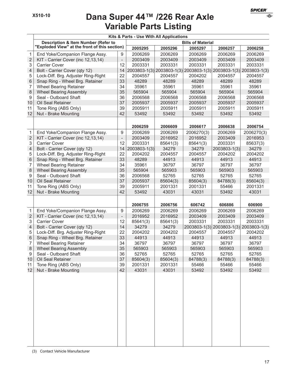## **Variable Parts Listing Dana Super 44™ /226 Rear Axle**

|                |                                                |                          |              | Kits & Parts - Use With All Applications |            |              |                                                                  |
|----------------|------------------------------------------------|--------------------------|--------------|------------------------------------------|------------|--------------|------------------------------------------------------------------|
|                | <b>Description &amp; Item Number (Refer to</b> | <b>Bills of Material</b> |              |                                          |            |              |                                                                  |
|                | "Exploded View" at the front of this section)  |                          | 2005295      | 2005296                                  | 2005297    | 2006257      | 2006258                                                          |
| 1              | End Yoke/Companion Flange Assy.                | 9                        | 2006269      | 2006269                                  | 2006269    | 2006269      | 2006269                                                          |
| $\overline{2}$ | KIT - Carrier Cover (inc 12,13,14)             | $\overline{\phantom{a}}$ | 2003409      | 2003409                                  | 2003409    | 2003409      | 2003409                                                          |
| 3              | <b>Carrier Cover</b>                           | 12                       | 2003331      | 2003331                                  | 2003331    | 2003331      | 2003331                                                          |
| 4              | Bolt - Carrier Cover (qty 12)                  | 14                       |              |                                          |            |              | 2003803-1(3) 2003803-1(3) 2003803-1(3) 2003803-1(3) 2003803-1(3) |
| 5              | Lock-Diff. Brg. Adjuster Ring-Right            | 22                       | 2004557      | 2004557                                  | 2004202    | 2004557      | 2004557                                                          |
| 6              | Snap Ring - Wheel Brg. Retainer                | 33                       | 48289        | 48289                                    | 48289      | 48289        | 48289                                                            |
| 7              | <b>Wheel Bearing Retainer</b>                  | 34                       | 35961        | 35961                                    | 35961      | 35961        | 35961                                                            |
| 8              | <b>Wheel Bearing Assembly</b>                  | 35                       | 565904       | 565904                                   | 565904     | 565904       | 565904                                                           |
| 9              | Seal - Outboard Shaft                          | 36                       | 2006568      | 2006568                                  | 2006568    | 2006568      | 2006568                                                          |
| 10             | Oil Seal Retainer                              | 37                       | 2005937      | 2005937                                  | 2005937    | 2005937      | 2005937                                                          |
| 11             | Tone Ring (ABS Only)                           | 39                       | 2005911      | 2005911                                  | 2005911    | 2005911      | 2005911                                                          |
| 12             | Nut - Brake Mounting                           | 42                       | 53492        | 53492                                    | 53492      | 53492        | 53492                                                            |
|                |                                                |                          |              |                                          |            |              |                                                                  |
|                |                                                |                          | 2006259      | 2006609                                  | 2006617    | 2006638      | 2006754                                                          |
| $\mathbf{1}$   | End Yoke/Companion Flange Assy.                | 9                        | 2006269      | 2006269                                  | 2006270(3) | 2006269      | 2006270(3)                                                       |
| $\overline{2}$ | KIT - Carrier Cover (inc 12,13,14)             | $\overline{\phantom{0}}$ | 2003409      | 2016952                                  | 2016952    | 2003409      | 2016953                                                          |
| 3              | <b>Carrier Cover</b>                           | 12                       | 2003331      | 85641(3)                                 | 85641(3)   | 2003331      | 85637(3)                                                         |
| 4              | Bolt - Carrier Cover (qty 12)                  | 14                       | 2003803-1(3) | 34279                                    | 34279      | 2003803-1(3) | 34279                                                            |
| 5              | Lock-Diff. Brg. Adjuster Ring-Right            | 22                       | 2004202      | 2004557                                  | 2004557    | 2004202      | 2004202                                                          |
| 6              | Snap Ring - Wheel Brg. Retainer                | 33                       | 48289        | 44913                                    | 44913      | 44913        | 44913                                                            |
| 7              | <b>Wheel Bearing Retainer</b>                  | 34                       | 35961        | 36797                                    | 36797      | 36797        | 36797                                                            |
| 8              | <b>Wheel Bearing Assembly</b>                  | 35                       | 565904       | 565903                                   | 565903     | 565903       | 565903                                                           |
| 9              | Seal - Outboard Shaft                          | 36                       | 2006568      | 52765                                    | 52765      | 52765        | 52765                                                            |
| 10             | Oil Seal Retainer                              | 37                       | 2005937      | 85604(3)                                 | 85604(3)   | 84788(3)     | 85604(3)                                                         |
| 11             | Tone Ring (ABS Only)                           | 39                       | 2005911      | 2001331                                  | 2001331    | 55466        | 2001331                                                          |
| 12             | Nut - Brake Mounting                           | 42                       | 53492        | 43031                                    | 43031      | 53492        | 43031                                                            |
|                |                                                |                          |              |                                          |            |              |                                                                  |
|                |                                                |                          | 2006755      | 2006756                                  | 606742     | 606886       | 606900                                                           |
| $\mathbf 1$    | End Yoke/Companion Flange Assy.                | 9                        | 2006269      | 2006269                                  | 2006269    | 2006269      | 2006269                                                          |
| $\overline{c}$ | KIT - Carrier Cover (inc 12,13,14)             | $\overline{\phantom{a}}$ | 2016952      | 2016952                                  | 2003409    | 2003409      | 2003409                                                          |
| 3              | Carrier Cover                                  | 12                       | 85641(3)     | 85641(3)                                 | 2003331    | 2003331      | 2003331                                                          |
| 4              | Bolt - Carrier Cover (qty 12)                  | 14                       | 34279        | 34279                                    |            |              | 2003803-1(3) 2003803-1(3) 2003803-1(3)                           |
| 5              | Lock-Diff. Brg. Adjuster Ring-Right            | 22                       | 2004202      | 2004202                                  | 2004557    | 2004557      | 2004202                                                          |
| 6              | Snap Ring - Wheel Brg. Retainer                | 33                       | 44913        | 44913                                    | 44913      | 44913        | 44913                                                            |
| 7              | <b>Wheel Bearing Retainer</b>                  | 34                       | 36797        | 36797                                    | 36797      | 36797        | 36797                                                            |
| 8              | <b>Wheel Bearing Assembly</b>                  | 35                       | 565903       | 565903                                   | 565903     | 565903       | 565903                                                           |
| 9              | Seal - Outboard Shaft                          | 36                       | 52765        | 52765                                    | 52765      | 52765        | 52765                                                            |
| 10             | Oil Seal Retainer                              | 37                       | 85604(3)     | 85604(3)                                 | 84788(3)   | 84788(3)     | 84788(3)                                                         |
| 11             | Tone Ring (ABS Only)                           | 39                       | 2001331      | 2001331                                  | 55466      | 55466        | 55466                                                            |
| 12             | Nut - Brake Mounting                           | 42                       | 43031        | 43031                                    | 53492      | 53492        | 53492                                                            |
|                |                                                |                          |              |                                          |            |              |                                                                  |
|                |                                                |                          |              |                                          |            |              |                                                                  |
|                |                                                |                          |              |                                          |            |              |                                                                  |
|                |                                                |                          |              |                                          |            |              |                                                                  |
|                |                                                |                          |              |                                          |            |              |                                                                  |
|                |                                                |                          |              |                                          |            |              |                                                                  |
|                |                                                |                          |              |                                          |            |              |                                                                  |
|                |                                                |                          |              |                                          |            |              |                                                                  |
|                |                                                |                          |              |                                          |            |              |                                                                  |
|                |                                                |                          |              |                                          |            |              |                                                                  |
|                |                                                |                          |              |                                          |            |              |                                                                  |
|                |                                                |                          |              |                                          |            |              |                                                                  |
|                |                                                |                          |              |                                          |            |              |                                                                  |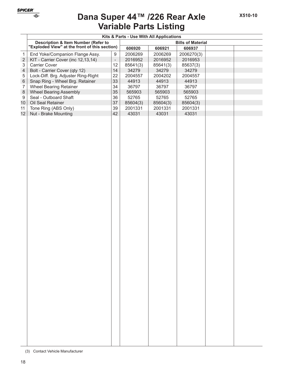

# **Variable Parts Listing Dana Super 44™ /226 Rear Axle**

|                                                | Kits & Parts - Use With All Applications      |                          |                          |          |            |  |  |  |
|------------------------------------------------|-----------------------------------------------|--------------------------|--------------------------|----------|------------|--|--|--|
| <b>Description &amp; Item Number (Refer to</b> |                                               |                          | <b>Bills of Material</b> |          |            |  |  |  |
|                                                | "Exploded View" at the front of this section) |                          | 606920                   | 606921   | 606937     |  |  |  |
| $\mathbf{1}$                                   | End Yoke/Companion Flange Assy.               | 9                        | 2006269                  | 2006269  | 2006270(3) |  |  |  |
| $\sqrt{2}$                                     | KIT - Carrier Cover (inc 12,13,14)            | $\overline{\phantom{a}}$ | 2016952                  | 2016952  | 2016953    |  |  |  |
| 3                                              | Carrier Cover                                 | 12                       | 85641(3)                 | 85641(3) | 85637(3)   |  |  |  |
| $\overline{\mathcal{A}}$                       | Bolt - Carrier Cover (qty 12)                 | 14                       | 34279                    | 34279    | 34279      |  |  |  |
| 5                                              | Lock-Diff. Brg. Adjuster Ring-Right           | 22                       | 2004557                  | 2004202  | 2004557    |  |  |  |
| $\,6\,$                                        | Snap Ring - Wheel Brg. Retainer               | 33                       | 44913                    | 44913    | 44913      |  |  |  |
| $\overline{7}$                                 | Wheel Bearing Retainer                        | 34                       | 36797                    | 36797    | 36797      |  |  |  |
| $\,8\,$                                        | <b>Wheel Bearing Assembly</b>                 | 35                       | 565903                   | 565903   | 565903     |  |  |  |
| $\boldsymbol{9}$                               | Seal - Outboard Shaft                         | 36                       | 52765                    | 52765    | 52765      |  |  |  |
| 10                                             | Oil Seal Retainer                             | 37                       | 85604(3)                 | 85604(3) | 85604(3)   |  |  |  |
| 11                                             | Tone Ring (ABS Only)                          | 39                       | 2001331                  | 2001331  | 2001331    |  |  |  |
| 12                                             | Nut - Brake Mounting                          | 42                       | 43031                    | 43031    | 43031      |  |  |  |
|                                                |                                               |                          |                          |          |            |  |  |  |

<sup>(3)</sup> Contact Vehicle Manufacturer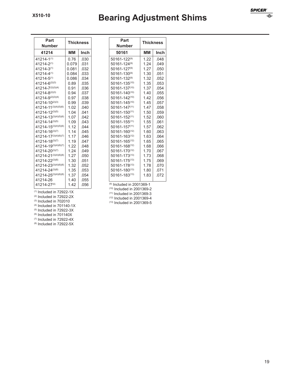# **Bearing Adjustment Shims**

| Part<br><b>Number</b>       | <b>Thickness</b> |      |  |  |  |
|-----------------------------|------------------|------|--|--|--|
| 41214                       | MМ               | Inch |  |  |  |
| 41214-1(1)                  | 0.76             | .030 |  |  |  |
| 41214-2(1)                  | 0.079            | .031 |  |  |  |
| 41214-3(1)                  | 0.081            | .032 |  |  |  |
| 41214-4(1)                  | 0.084            | .033 |  |  |  |
| 41214-5(1)                  | 0.086            | .034 |  |  |  |
| $41214 - 6^{(2)(3)}$        | 0.89             | .035 |  |  |  |
| 41214-7(2)(3)(4)            | 0.91             | .036 |  |  |  |
| 41214-8(2)(3)               | 0.94             | .037 |  |  |  |
| 41214-9(2)(3)(4)            | 0.97             | .038 |  |  |  |
| 41214-10(2)(3)              | 0.99             | .039 |  |  |  |
| 41214-11(3)(4)(5)(6)        | 1.02             | .040 |  |  |  |
| 41214-12(3)(5)              | 1.04             | .041 |  |  |  |
| 41214-13(3)(4)(5)(6)        | 1.07             | .042 |  |  |  |
| 41214-14(3)(5)              | 1.09             | .043 |  |  |  |
| 41214-15(3)(4)(5)(6)        | 1.12             | .044 |  |  |  |
| 41214-16(3)(7)              | 1.14             | .045 |  |  |  |
| 41214-17(3)(4)(6)(7)        | 1.17             | .046 |  |  |  |
| 41214-18(3)(7)              | 1.19             | .047 |  |  |  |
| 41214-19(3)(4)(6)(7)        | 1.22             | .048 |  |  |  |
| 41214-20(3)(7)              | 1.24             | .049 |  |  |  |
| 41214-21(3)(4)(6)(8)        | 1.27             | .050 |  |  |  |
| 41214-22(3)(8)              | 1.30             | .051 |  |  |  |
| $41214 - 23^{(3)(4)(6)(8)}$ | 1.32             | .052 |  |  |  |
| 41214-24(3)(8)              | 1.35             | .053 |  |  |  |
| 41214-25(3)(4)(6)(8)        | 1.37             | .054 |  |  |  |
| 41214-26                    | 1.40             | .055 |  |  |  |
| 41214-27(4)                 | 1.42             | .056 |  |  |  |

| Part<br><b>Number</b> | <b>Thickness</b> |      |  |  |
|-----------------------|------------------|------|--|--|
| 50161                 | MМ               | Inch |  |  |
| 50161-122(9)          | 1.22             | .048 |  |  |
| 50161-124(9)          | 1.24             | .049 |  |  |
| 50161-127(9)          | 1.27             | .050 |  |  |
| 50161-130(9)          | 1.30             | .051 |  |  |
| 50161-132(9)          | 1.32             | .052 |  |  |
| $50161 - 135^{(10)}$  | 1.35             | .053 |  |  |
| 50161-137(10)         | 1.37             | .054 |  |  |
| $50161 - 140^{(10)}$  | 1.40             | .055 |  |  |
| 50161-142(10)         | 1.42             | .056 |  |  |
| $50161 - 145^{(10)}$  | 1.45             | .057 |  |  |
| $50161 - 147^{(11)}$  | 1.47             | .058 |  |  |
| $50161 - 150^{(11)}$  | 1.50             | .059 |  |  |
| $50161 - 152^{(11)}$  | 1.52             | .060 |  |  |
| $50161 - 155(11)$     | 1.55             | .061 |  |  |
| $50161 - 157(11)$     | 1.57             | .062 |  |  |
| $50161 - 160^{(12)}$  | 1.60             | .063 |  |  |
| $50161 - 163^{(12)}$  | 1.63             | .064 |  |  |
| $50161 - 165^{(12)}$  | 1.65             | .065 |  |  |
| 50161-168(12)         | 1.68             | .066 |  |  |
| 50161-170(12)         | 1.70             | .067 |  |  |
| 50161-173(13)         | 1.73             | .068 |  |  |
| $50161 - 175^{(13)}$  | 1.75             | .069 |  |  |
| $50161 - 178^{(13)}$  | 1.78             | .070 |  |  |
| $50161 - 180^{(13)}$  | 1.80             | .071 |  |  |
| $50161 - 183(13)$     | 1.83             | .072 |  |  |

(9) Included in 2001369-1

(10) Included in 2001369-2

(11) Included in 2001369-3

(12) Included in 2001369-4

 $(13)$  Included in 2001369-5

 $(2)$  Included in 72922-2X (3) Included in 702010  $(4)$  Included in 701140-1X

 $(1)$  Included in 72922-1X

(5) Included in 72922-3X

 $(6)$  Included in 701140X

(7) Included in 72922-4X

(8) Included in 72922-5X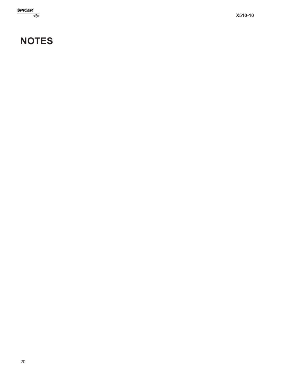

# **NOTES**